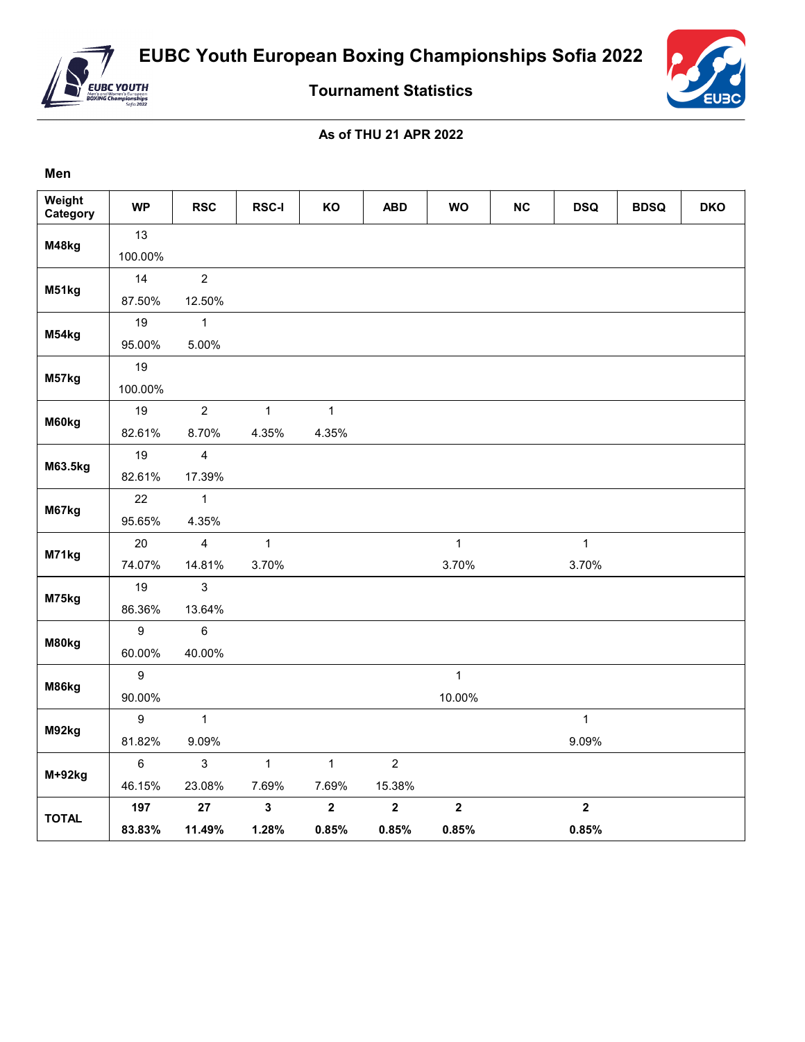

**Men**

**Tournament Statistics**

## **As of THU 21 APR 2022**

| Weight<br>Category | <b>WP</b>      | <b>RSC</b>     | <b>RSC-I</b> | KO           | <b>ABD</b>     | <b>WO</b>    | <b>NC</b> | <b>DSQ</b>       | <b>BDSQ</b> | <b>DKO</b> |
|--------------------|----------------|----------------|--------------|--------------|----------------|--------------|-----------|------------------|-------------|------------|
| M48kg              | 13             |                |              |              |                |              |           |                  |             |            |
|                    | 100.00%        |                |              |              |                |              |           |                  |             |            |
| M51kg              | 14             | $\overline{2}$ |              |              |                |              |           |                  |             |            |
|                    | 87.50%         | 12.50%         |              |              |                |              |           |                  |             |            |
| M54kg              | 19             | $\mathbf{1}$   |              |              |                |              |           |                  |             |            |
|                    | 95.00%         | 5.00%          |              |              |                |              |           |                  |             |            |
|                    | 19             |                |              |              |                |              |           |                  |             |            |
| M57kg              | 100.00%        |                |              |              |                |              |           |                  |             |            |
|                    | 19             | $\overline{2}$ | $\mathbf{1}$ | $\mathbf{1}$ |                |              |           |                  |             |            |
| M60kg              | 82.61%         | 8.70%          | 4.35%        | 4.35%        |                |              |           |                  |             |            |
|                    | 19             | $\overline{4}$ |              |              |                |              |           |                  |             |            |
| M63.5kg            | 82.61%         | 17.39%         |              |              |                |              |           |                  |             |            |
| M67kg              | 22             | $\mathbf{1}$   |              |              |                |              |           |                  |             |            |
|                    | 95.65%         | 4.35%          |              |              |                |              |           |                  |             |            |
|                    | 20             | $\overline{4}$ | $\mathbf{1}$ |              |                | $\mathbf{1}$ |           | $\mathbf{1}$     |             |            |
| M71kg              | 74.07%         | 14.81%         | 3.70%        |              |                | 3.70%        |           | 3.70%            |             |            |
|                    | 19             | $\mathsf 3$    |              |              |                |              |           |                  |             |            |
| M75kg              | 86.36%         | 13.64%         |              |              |                |              |           |                  |             |            |
|                    | $9\,$          | $6\phantom{a}$ |              |              |                |              |           |                  |             |            |
| M80kg              | 60.00%         | 40.00%         |              |              |                |              |           |                  |             |            |
| M86kg              | $9\,$          |                |              |              |                | $\mathbf{1}$ |           |                  |             |            |
|                    | 90.00%         |                |              |              |                | 10.00%       |           |                  |             |            |
| M92kg              | $9\,$          | $\mathbf{1}$   |              |              |                |              |           | $\mathbf{1}$     |             |            |
|                    | 81.82%         | 9.09%          |              |              |                |              |           | 9.09%            |             |            |
|                    | $6\phantom{1}$ | $\mathbf{3}$   | $\mathbf{1}$ | $\mathbf{1}$ | $\overline{2}$ |              |           |                  |             |            |
| $M+92kg$           | 46.15%         | 23.08%         | 7.69%        | 7.69%        | 15.38%         |              |           |                  |             |            |
|                    | 197            | 27             | $\mathbf 3$  | $\mathbf 2$  | $\mathbf 2$    | $\mathbf{2}$ |           | $\boldsymbol{2}$ |             |            |
| <b>TOTAL</b>       | 83.83%         | 11.49%         | 1.28%        | 0.85%        | 0.85%          | 0.85%        |           | 0.85%            |             |            |